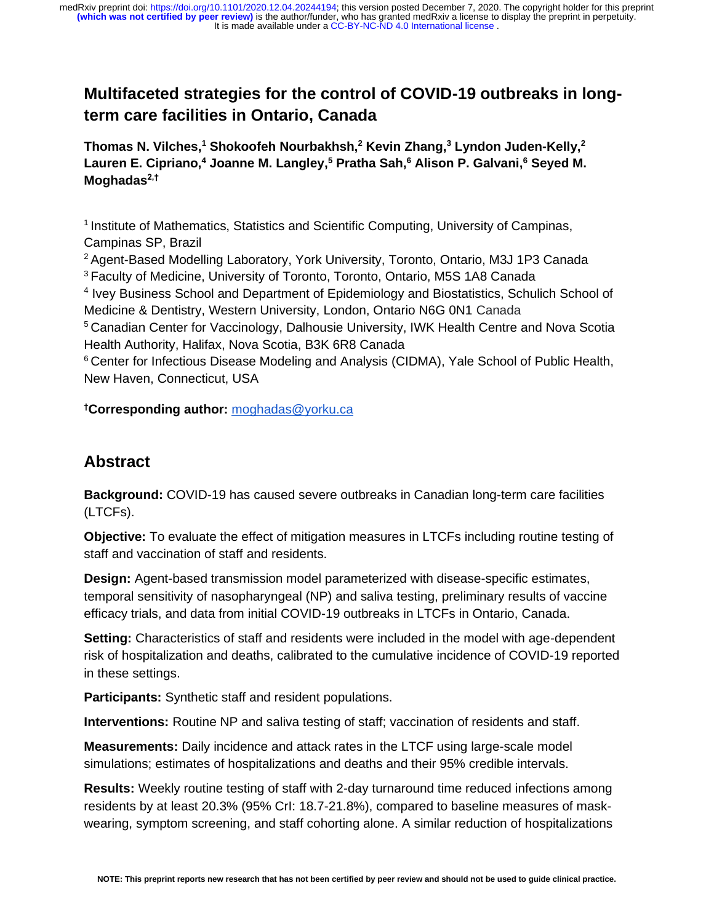# **Multifaceted strategies for the control of COVID-19 outbreaks in longterm care facilities in Ontario, Canada**

**Thomas N. Vilches,<sup>1</sup> Shokoofeh Nourbakhsh,<sup>2</sup> Kevin Zhang,<sup>3</sup> Lyndon Juden-Kelly,<sup>2</sup> Lauren E. Cipriano,<sup>4</sup> Joanne M. Langley,<sup>5</sup> Pratha Sah,<sup>6</sup> Alison P. Galvani,<sup>6</sup> Seyed M. Moghadas2,†**

<sup>1</sup> Institute of Mathematics, Statistics and Scientific Computing, University of Campinas, Campinas SP, Brazil

<sup>2</sup> Agent-Based Modelling Laboratory, York University, Toronto, Ontario, M3J 1P3 Canada <sup>3</sup>Faculty of Medicine, University of Toronto, Toronto, Ontario, M5S 1A8 Canada

<sup>4</sup> Ivey Business School and Department of Epidemiology and Biostatistics, Schulich School of Medicine & Dentistry, Western University, London, Ontario N6G 0N1 Canada

<sup>5</sup> Canadian Center for Vaccinology, Dalhousie University, IWK Health Centre and Nova Scotia Health Authority, Halifax, Nova Scotia, B3K 6R8 Canada

<sup>6</sup> Center for Infectious Disease Modeling and Analysis (CIDMA), Yale School of Public Health, New Haven, Connecticut, USA

**†Corresponding author:** moghadas@yorku.ca

## **Abstract**

**Background:** COVID-19 has caused severe outbreaks in Canadian long-term care facilities (LTCFs).

**Objective:** To evaluate the effect of mitigation measures in LTCFs including routine testing of staff and vaccination of staff and residents.

**Design:** Agent-based transmission model parameterized with disease-specific estimates, temporal sensitivity of nasopharyngeal (NP) and saliva testing, preliminary results of vaccine efficacy trials, and data from initial COVID-19 outbreaks in LTCFs in Ontario, Canada.

**Setting:** Characteristics of staff and residents were included in the model with age-dependent risk of hospitalization and deaths, calibrated to the cumulative incidence of COVID-19 reported in these settings.

**Participants:** Synthetic staff and resident populations.

**Interventions:** Routine NP and saliva testing of staff; vaccination of residents and staff.

**Measurements:** Daily incidence and attack rates in the LTCF using large-scale model simulations; estimates of hospitalizations and deaths and their 95% credible intervals.

**Results:** Weekly routine testing of staff with 2-day turnaround time reduced infections among residents by at least 20.3% (95% CrI: 18.7-21.8%), compared to baseline measures of maskwearing, symptom screening, and staff cohorting alone. A similar reduction of hospitalizations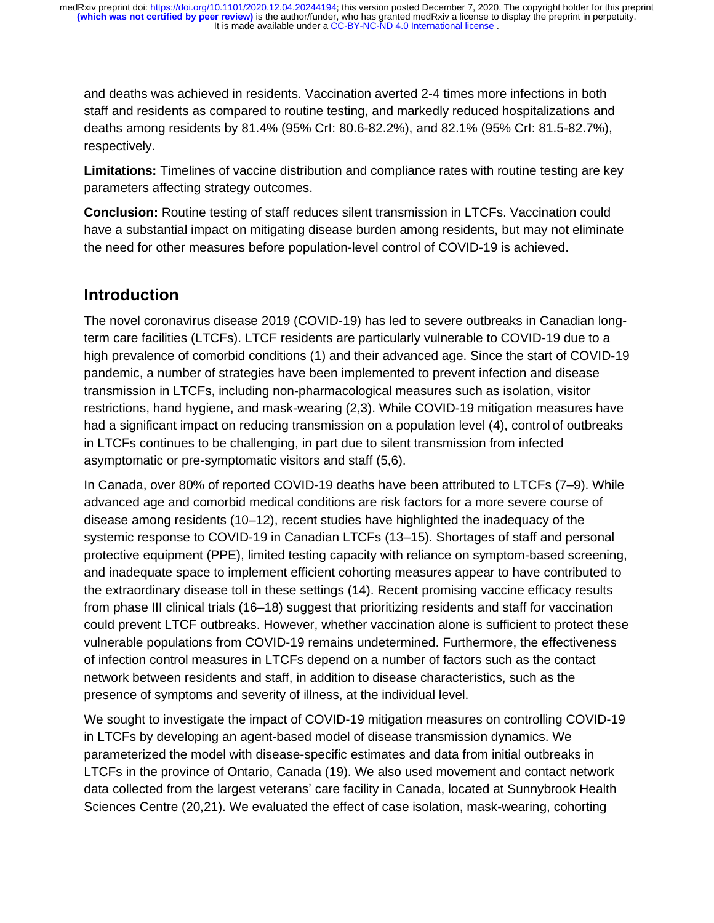and deaths was achieved in residents. Vaccination averted 2-4 times more infections in both staff and residents as compared to routine testing, and markedly reduced hospitalizations and deaths among residents by 81.4% (95% CrI: 80.6-82.2%), and 82.1% (95% CrI: 81.5-82.7%), respectively.

**Limitations:** Timelines of vaccine distribution and compliance rates with routine testing are key parameters affecting strategy outcomes.

**Conclusion:** Routine testing of staff reduces silent transmission in LTCFs. Vaccination could have a substantial impact on mitigating disease burden among residents, but may not eliminate the need for other measures before population-level control of COVID-19 is achieved.

## **Introduction**

The novel coronavirus disease 2019 (COVID-19) has led to severe outbreaks in Canadian longterm care facilities (LTCFs). LTCF residents are particularly vulnerable to COVID-19 due to a high prevalence of comorbid conditions (1) and their advanced age. Since the start of COVID-19 pandemic, a number of strategies have been implemented to prevent infection and disease transmission in LTCFs, including non-pharmacological measures such as isolation, visitor restrictions, hand hygiene, and mask-wearing (2,3). While COVID-19 mitigation measures have had a significant impact on reducing transmission on a population level (4), control of outbreaks in LTCFs continues to be challenging, in part due to silent transmission from infected asymptomatic or pre-symptomatic visitors and staff (5,6).

In Canada, over 80% of reported COVID-19 deaths have been attributed to LTCFs (7–9). While advanced age and comorbid medical conditions are risk factors for a more severe course of disease among residents (10–12), recent studies have highlighted the inadequacy of the systemic response to COVID-19 in Canadian LTCFs (13–15). Shortages of staff and personal protective equipment (PPE), limited testing capacity with reliance on symptom-based screening, and inadequate space to implement efficient cohorting measures appear to have contributed to the extraordinary disease toll in these settings (14). Recent promising vaccine efficacy results from phase III clinical trials (16–18) suggest that prioritizing residents and staff for vaccination could prevent LTCF outbreaks. However, whether vaccination alone is sufficient to protect these vulnerable populations from COVID-19 remains undetermined. Furthermore, the effectiveness of infection control measures in LTCFs depend on a number of factors such as the contact network between residents and staff, in addition to disease characteristics, such as the presence of symptoms and severity of illness, at the individual level.

We sought to investigate the impact of COVID-19 mitigation measures on controlling COVID-19 in LTCFs by developing an agent-based model of disease transmission dynamics. We parameterized the model with disease-specific estimates and data from initial outbreaks in LTCFs in the province of Ontario, Canada (19). We also used movement and contact network data collected from the largest veterans' care facility in Canada, located at Sunnybrook Health Sciences Centre (20,21). We evaluated the effect of case isolation, mask-wearing, cohorting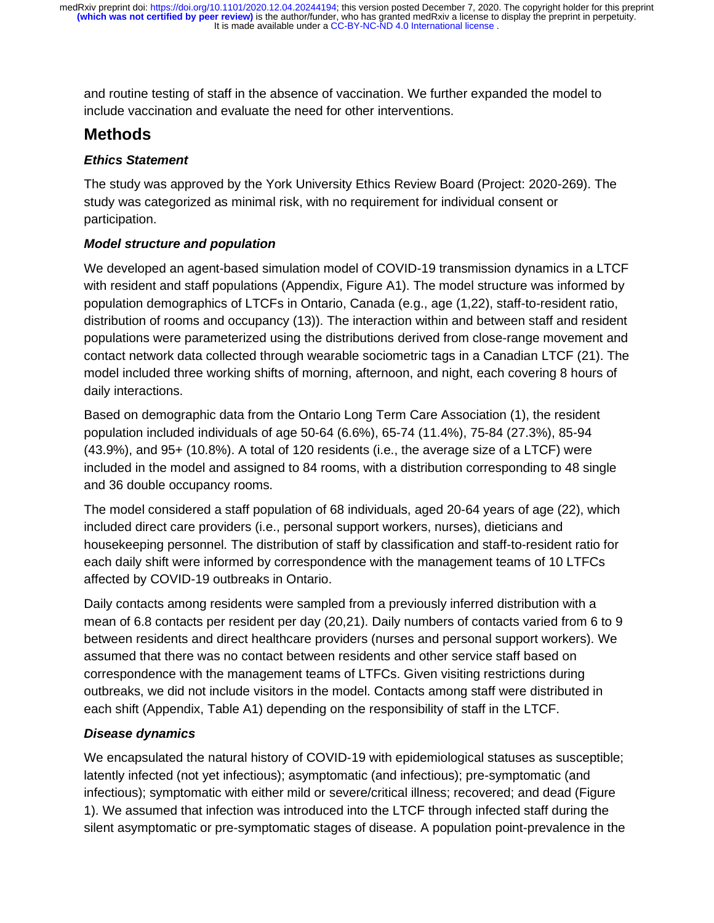It is made available under a [CC-BY-NC-ND 4.0 International license](http://creativecommons.org/licenses/by-nc-nd/4.0/) . **(which was not certified by peer review)** is the author/funder, who has granted medRxiv a license to display the preprint in perpetuity. medRxiv preprint doi: [https://doi.org/10.1101/2020.12.04.20244194;](https://doi.org/10.1101/2020.12.04.20244194) this version posted December 7, 2020. The copyright holder for this preprint

and routine testing of staff in the absence of vaccination. We further expanded the model to include vaccination and evaluate the need for other interventions.

## **Methods**

### *Ethics Statement*

The study was approved by the York University Ethics Review Board (Project: 2020-269). The study was categorized as minimal risk, with no requirement for individual consent or participation.

## *Model structure and population*

We developed an agent-based simulation model of COVID-19 transmission dynamics in a LTCF with resident and staff populations (Appendix, Figure A1). The model structure was informed by population demographics of LTCFs in Ontario, Canada (e.g., age (1,22), staff-to-resident ratio, distribution of rooms and occupancy (13)). The interaction within and between staff and resident populations were parameterized using the distributions derived from close-range movement and contact network data collected through wearable sociometric tags in a Canadian LTCF (21). The model included three working shifts of morning, afternoon, and night, each covering 8 hours of daily interactions.

Based on demographic data from the Ontario Long Term Care Association (1), the resident population included individuals of age 50-64 (6.6%), 65-74 (11.4%), 75-84 (27.3%), 85-94 (43.9%), and 95+ (10.8%). A total of 120 residents (i.e., the average size of a LTCF) were included in the model and assigned to 84 rooms, with a distribution corresponding to 48 single and 36 double occupancy rooms.

The model considered a staff population of 68 individuals, aged 20-64 years of age (22), which included direct care providers (i.e., personal support workers, nurses), dieticians and housekeeping personnel. The distribution of staff by classification and staff-to-resident ratio for each daily shift were informed by correspondence with the management teams of 10 LTFCs affected by COVID-19 outbreaks in Ontario.

Daily contacts among residents were sampled from a previously inferred distribution with a mean of 6.8 contacts per resident per day (20,21). Daily numbers of contacts varied from 6 to 9 between residents and direct healthcare providers (nurses and personal support workers). We assumed that there was no contact between residents and other service staff based on correspondence with the management teams of LTFCs. Given visiting restrictions during outbreaks, we did not include visitors in the model. Contacts among staff were distributed in each shift (Appendix, Table A1) depending on the responsibility of staff in the LTCF.

## *Disease dynamics*

We encapsulated the natural history of COVID-19 with epidemiological statuses as susceptible; latently infected (not yet infectious); asymptomatic (and infectious); pre-symptomatic (and infectious); symptomatic with either mild or severe/critical illness; recovered; and dead (Figure 1). We assumed that infection was introduced into the LTCF through infected staff during the silent asymptomatic or pre-symptomatic stages of disease. A population point-prevalence in the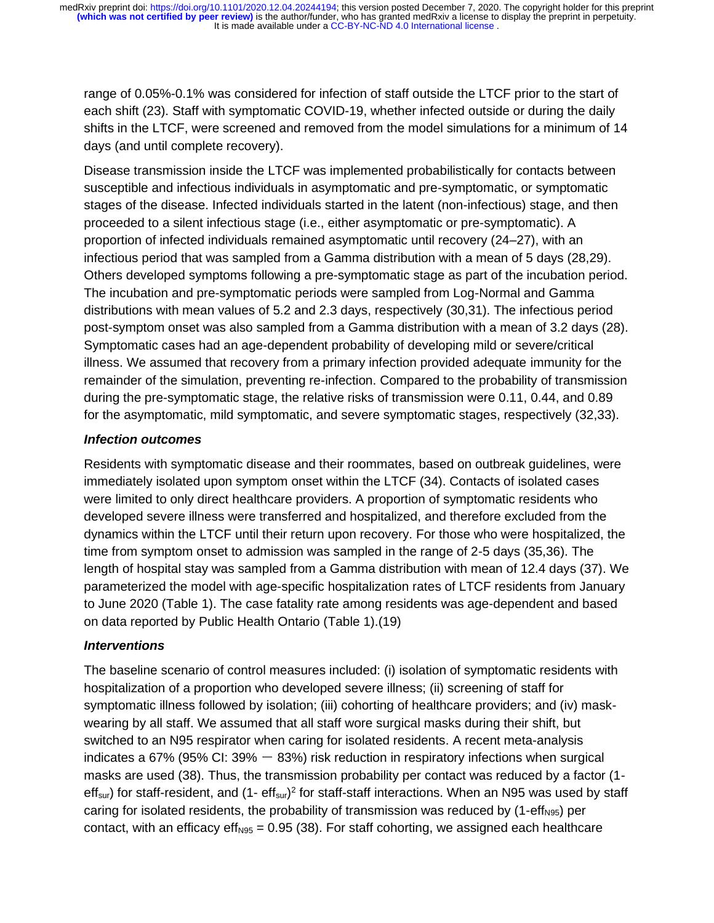range of 0.05%-0.1% was considered for infection of staff outside the LTCF prior to the start of each shift (23). Staff with symptomatic COVID-19, whether infected outside or during the daily shifts in the LTCF, were screened and removed from the model simulations for a minimum of 14 days (and until complete recovery).

Disease transmission inside the LTCF was implemented probabilistically for contacts between susceptible and infectious individuals in asymptomatic and pre-symptomatic, or symptomatic stages of the disease. Infected individuals started in the latent (non-infectious) stage, and then proceeded to a silent infectious stage (i.e., either asymptomatic or pre-symptomatic). A proportion of infected individuals remained asymptomatic until recovery (24–27), with an infectious period that was sampled from a Gamma distribution with a mean of 5 days (28,29). Others developed symptoms following a pre-symptomatic stage as part of the incubation period. The incubation and pre-symptomatic periods were sampled from Log-Normal and Gamma distributions with mean values of 5.2 and 2.3 days, respectively (30,31). The infectious period post-symptom onset was also sampled from a Gamma distribution with a mean of 3.2 days (28). Symptomatic cases had an age-dependent probability of developing mild or severe/critical illness. We assumed that recovery from a primary infection provided adequate immunity for the remainder of the simulation, preventing re-infection. Compared to the probability of transmission during the pre-symptomatic stage, the relative risks of transmission were 0.11, 0.44, and 0.89 for the asymptomatic, mild symptomatic, and severe symptomatic stages, respectively (32,33).

#### *Infection outcomes*

Residents with symptomatic disease and their roommates, based on outbreak guidelines, were immediately isolated upon symptom onset within the LTCF (34). Contacts of isolated cases were limited to only direct healthcare providers. A proportion of symptomatic residents who developed severe illness were transferred and hospitalized, and therefore excluded from the dynamics within the LTCF until their return upon recovery. For those who were hospitalized, the time from symptom onset to admission was sampled in the range of 2-5 days (35,36). The length of hospital stay was sampled from a Gamma distribution with mean of 12.4 days (37). We parameterized the model with age-specific hospitalization rates of LTCF residents from January to June 2020 (Table 1). The case fatality rate among residents was age-dependent and based on data reported by Public Health Ontario (Table 1).(19)

### *Interventions*

The baseline scenario of control measures included: (i) isolation of symptomatic residents with hospitalization of a proportion who developed severe illness; (ii) screening of staff for symptomatic illness followed by isolation; (iii) cohorting of healthcare providers; and (iv) maskwearing by all staff. We assumed that all staff wore surgical masks during their shift, but switched to an N95 respirator when caring for isolated residents. A recent meta-analysis indicates a 67% (95% CI:  $39\% - 83\%$ ) risk reduction in respiratory infections when surgical masks are used (38). Thus, the transmission probability per contact was reduced by a factor (1 eff<sub>sur</sub>) for staff-resident, and (1- eff<sub>sur</sub>)<sup>2</sup> for staff-staff interactions. When an N95 was used by staff caring for isolated residents, the probability of transmission was reduced by  $(1-\text{eff}_{N95})$  per contact, with an efficacy eff<sub>N95</sub> = 0.95 (38). For staff cohorting, we assigned each healthcare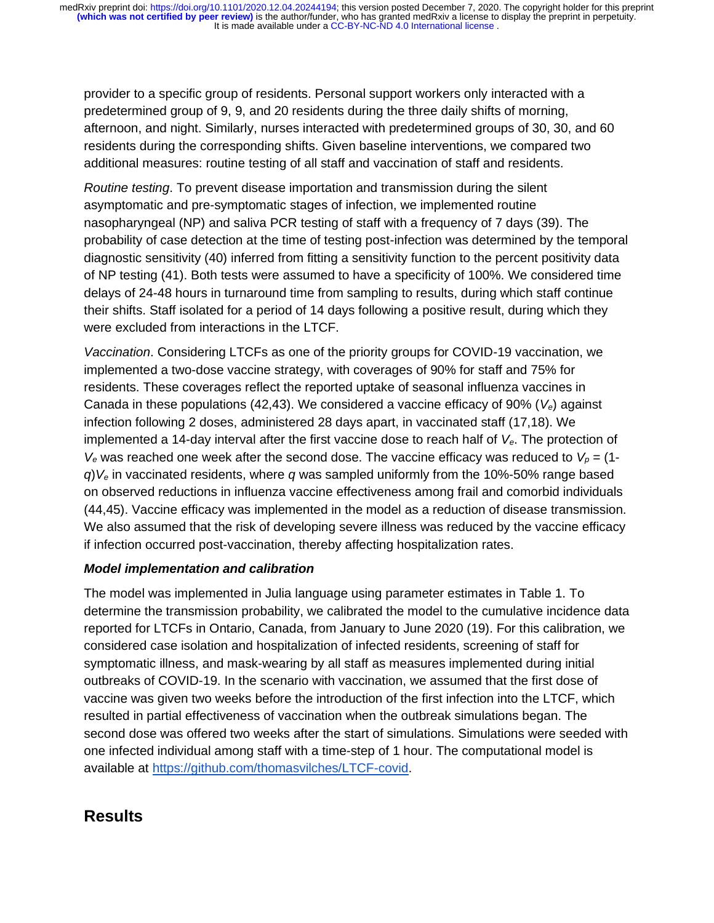provider to a specific group of residents. Personal support workers only interacted with a predetermined group of 9, 9, and 20 residents during the three daily shifts of morning, afternoon, and night. Similarly, nurses interacted with predetermined groups of 30, 30, and 60 residents during the corresponding shifts. Given baseline interventions, we compared two additional measures: routine testing of all staff and vaccination of staff and residents.

*Routine testing*. To prevent disease importation and transmission during the silent asymptomatic and pre-symptomatic stages of infection, we implemented routine nasopharyngeal (NP) and saliva PCR testing of staff with a frequency of 7 days (39). The probability of case detection at the time of testing post-infection was determined by the temporal diagnostic sensitivity (40) inferred from fitting a sensitivity function to the percent positivity data of NP testing (41). Both tests were assumed to have a specificity of 100%. We considered time delays of 24-48 hours in turnaround time from sampling to results, during which staff continue their shifts. Staff isolated for a period of 14 days following a positive result, during which they were excluded from interactions in the LTCF.

*Vaccination*. Considering LTCFs as one of the priority groups for COVID-19 vaccination, we implemented a two-dose vaccine strategy, with coverages of 90% for staff and 75% for residents. These coverages reflect the reported uptake of seasonal influenza vaccines in Canada in these populations (42,43). We considered a vaccine efficacy of 90% (*Ve*) against infection following 2 doses, administered 28 days apart, in vaccinated staff (17,18). We implemented a 14-day interval after the first vaccine dose to reach half of *Ve*. The protection of  $V_e$  was reached one week after the second dose. The vaccine efficacy was reduced to  $V_p = (1$ *q*)*V<sup>e</sup>* in vaccinated residents, where *q* was sampled uniformly from the 10%-50% range based on observed reductions in influenza vaccine effectiveness among frail and comorbid individuals (44,45). Vaccine efficacy was implemented in the model as a reduction of disease transmission. We also assumed that the risk of developing severe illness was reduced by the vaccine efficacy if infection occurred post-vaccination, thereby affecting hospitalization rates.

#### *Model implementation and calibration*

The model was implemented in Julia language using parameter estimates in Table 1. To determine the transmission probability, we calibrated the model to the cumulative incidence data reported for LTCFs in Ontario, Canada, from January to June 2020 (19). For this calibration, we considered case isolation and hospitalization of infected residents, screening of staff for symptomatic illness, and mask-wearing by all staff as measures implemented during initial outbreaks of COVID-19. In the scenario with vaccination, we assumed that the first dose of vaccine was given two weeks before the introduction of the first infection into the LTCF, which resulted in partial effectiveness of vaccination when the outbreak simulations began. The second dose was offered two weeks after the start of simulations. Simulations were seeded with one infected individual among staff with a time-step of 1 hour. The computational model is available at https://github.com/thomasvilches/LTCF-covid.

# **Results**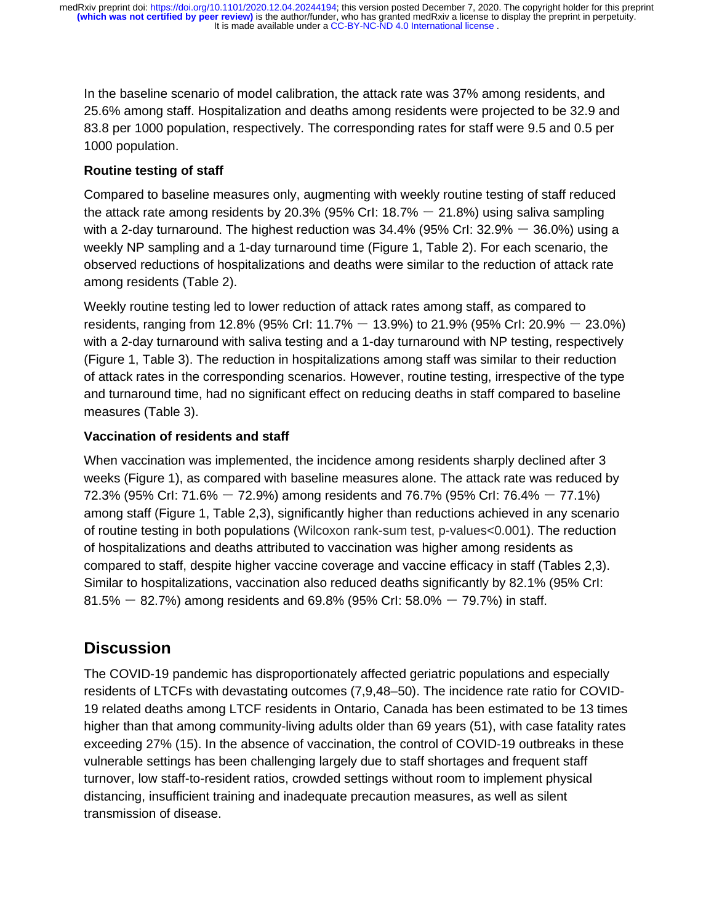In the baseline scenario of model calibration, the attack rate was 37% among residents, and 25.6% among staff. Hospitalization and deaths among residents were projected to be 32.9 and 83.8 per 1000 population, respectively. The corresponding rates for staff were 9.5 and 0.5 per 1000 population.

### **Routine testing of staff**

Compared to baseline measures only, augmenting with weekly routine testing of staff reduced the attack rate among residents by 20.3% (95% CrI:  $18.7% - 21.8%$ ) using saliva sampling with a 2-day turnaround. The highest reduction was  $34.4\%$  (95% Crl:  $32.9\%$  –  $36.0\%$ ) using a weekly NP sampling and a 1-day turnaround time (Figure 1, Table 2). For each scenario, the observed reductions of hospitalizations and deaths were similar to the reduction of attack rate among residents (Table 2).

Weekly routine testing led to lower reduction of attack rates among staff, as compared to residents, ranging from 12.8% (95% CrI: 11.7%  $-$  13.9%) to 21.9% (95% CrI: 20.9%  $-$  23.0%) with a 2-day turnaround with saliva testing and a 1-day turnaround with NP testing, respectively (Figure 1, Table 3). The reduction in hospitalizations among staff was similar to their reduction of attack rates in the corresponding scenarios. However, routine testing, irrespective of the type and turnaround time, had no significant effect on reducing deaths in staff compared to baseline measures (Table 3).

## **Vaccination of residents and staff**

When vaccination was implemented, the incidence among residents sharply declined after 3 weeks (Figure 1), as compared with baseline measures alone. The attack rate was reduced by 72.3% (95% CrI: 71.6% ー 72.9%) among residents and 76.7% (95% CrI: 76.4% ー 77.1%) among staff (Figure 1, Table 2,3), significantly higher than reductions achieved in any scenario of routine testing in both populations (Wilcoxon rank-sum test, p-values<0.001). The reduction of hospitalizations and deaths attributed to vaccination was higher among residents as compared to staff, despite higher vaccine coverage and vaccine efficacy in staff (Tables 2,3). Similar to hospitalizations, vaccination also reduced deaths significantly by 82.1% (95% CrI: 81.5%  $-$  82.7%) among residents and 69.8% (95% CrI: 58.0%  $-$  79.7%) in staff.

# **Discussion**

The COVID-19 pandemic has disproportionately affected geriatric populations and especially residents of LTCFs with devastating outcomes (7,9,48–50). The incidence rate ratio for COVID-19 related deaths among LTCF residents in Ontario, Canada has been estimated to be 13 times higher than that among community-living adults older than 69 years (51), with case fatality rates exceeding 27% (15). In the absence of vaccination, the control of COVID-19 outbreaks in these vulnerable settings has been challenging largely due to staff shortages and frequent staff turnover, low staff-to-resident ratios, crowded settings without room to implement physical distancing, insufficient training and inadequate precaution measures, as well as silent transmission of disease.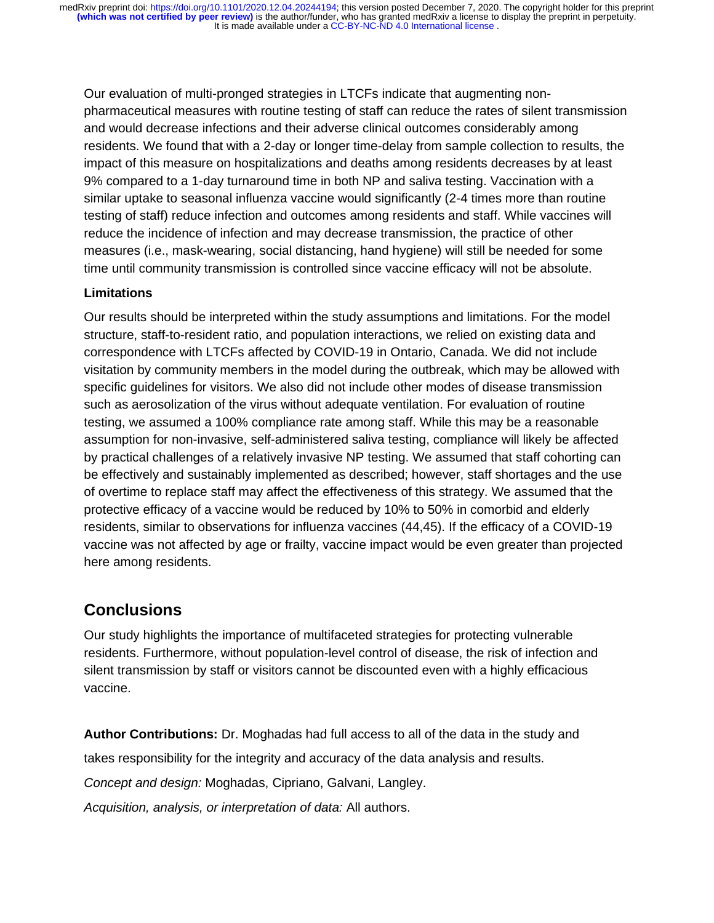Our evaluation of multi-pronged strategies in LTCFs indicate that augmenting nonpharmaceutical measures with routine testing of staff can reduce the rates of silent transmission and would decrease infections and their adverse clinical outcomes considerably among residents. We found that with a 2-day or longer time-delay from sample collection to results, the impact of this measure on hospitalizations and deaths among residents decreases by at least 9% compared to a 1-day turnaround time in both NP and saliva testing. Vaccination with a similar uptake to seasonal influenza vaccine would significantly (2-4 times more than routine testing of staff) reduce infection and outcomes among residents and staff. While vaccines will reduce the incidence of infection and may decrease transmission, the practice of other measures (i.e., mask-wearing, social distancing, hand hygiene) will still be needed for some time until community transmission is controlled since vaccine efficacy will not be absolute.

#### **Limitations**

Our results should be interpreted within the study assumptions and limitations. For the model structure, staff-to-resident ratio, and population interactions, we relied on existing data and correspondence with LTCFs affected by COVID-19 in Ontario, Canada. We did not include visitation by community members in the model during the outbreak, which may be allowed with specific guidelines for visitors. We also did not include other modes of disease transmission such as aerosolization of the virus without adequate ventilation. For evaluation of routine testing, we assumed a 100% compliance rate among staff. While this may be a reasonable assumption for non-invasive, self-administered saliva testing, compliance will likely be affected by practical challenges of a relatively invasive NP testing. We assumed that staff cohorting can be effectively and sustainably implemented as described; however, staff shortages and the use of overtime to replace staff may affect the effectiveness of this strategy. We assumed that the protective efficacy of a vaccine would be reduced by 10% to 50% in comorbid and elderly residents, similar to observations for influenza vaccines (44,45). If the efficacy of a COVID-19 vaccine was not affected by age or frailty, vaccine impact would be even greater than projected here among residents.

## **Conclusions**

Our study highlights the importance of multifaceted strategies for protecting vulnerable residents. Furthermore, without population-level control of disease, the risk of infection and silent transmission by staff or visitors cannot be discounted even with a highly efficacious vaccine.

**Author Contributions:** Dr. Moghadas had full access to all of the data in the study and

takes responsibility for the integrity and accuracy of the data analysis and results.

*Concept and design:* Moghadas, Cipriano, Galvani, Langley.

*Acquisition, analysis, or interpretation of data:* All authors.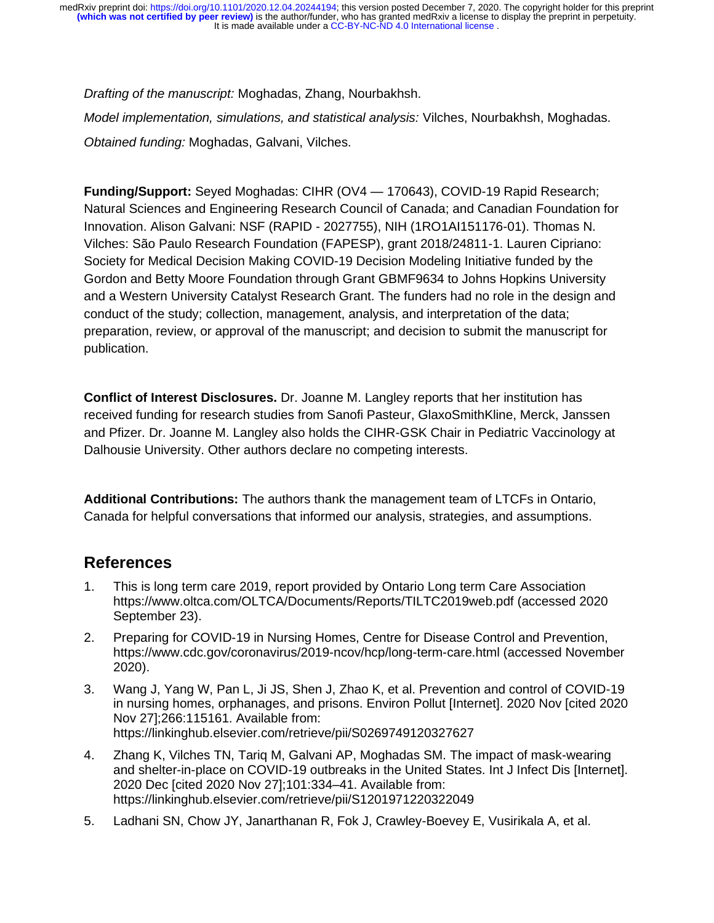It is made available under a [CC-BY-NC-ND 4.0 International license](http://creativecommons.org/licenses/by-nc-nd/4.0/) . **(which was not certified by peer review)** is the author/funder, who has granted medRxiv a license to display the preprint in perpetuity. medRxiv preprint doi: [https://doi.org/10.1101/2020.12.04.20244194;](https://doi.org/10.1101/2020.12.04.20244194) this version posted December 7, 2020. The copyright holder for this preprint

*Drafting of the manuscript:* Moghadas, Zhang, Nourbakhsh.

*Model implementation, simulations, and statistical analysis:* Vilches, Nourbakhsh, Moghadas. *Obtained funding:* Moghadas, Galvani, Vilches.

**Funding/Support:** Seyed Moghadas: CIHR (OV4 — 170643), COVID-19 Rapid Research; Natural Sciences and Engineering Research Council of Canada; and Canadian Foundation for Innovation. Alison Galvani: NSF (RAPID - 2027755), NIH (1RO1AI151176-01). Thomas N. Vilches: São Paulo Research Foundation (FAPESP), grant 2018/24811-1. Lauren Cipriano: Society for Medical Decision Making COVID-19 Decision Modeling Initiative funded by the Gordon and Betty Moore Foundation through Grant GBMF9634 to Johns Hopkins University and a Western University Catalyst Research Grant. The funders had no role in the design and conduct of the study; collection, management, analysis, and interpretation of the data; preparation, review, or approval of the manuscript; and decision to submit the manuscript for publication.

**Conflict of Interest Disclosures.** Dr. Joanne M. Langley reports that her institution has received funding for research studies from Sanofi Pasteur, GlaxoSmithKline, Merck, Janssen and Pfizer. Dr. Joanne M. Langley also holds the CIHR-GSK Chair in Pediatric Vaccinology at Dalhousie University. Other authors declare no competing interests.

**Additional Contributions:** The authors thank the management team of LTCFs in Ontario, Canada for helpful conversations that informed our analysis, strategies, and assumptions.

# **References**

- 1. This is long term care 2019, report provided by Ontario Long term Care Association https://www.oltca.com/OLTCA/Documents/Reports/TILTC2019web.pdf (accessed 2020 September 23).
- 2. Preparing for COVID-19 in Nursing Homes, Centre for Disease Control and Prevention, https://www.cdc.gov/coronavirus/2019-ncov/hcp/long-term-care.html (accessed November 2020).
- 3. Wang J, Yang W, Pan L, Ji JS, Shen J, Zhao K, et al. Prevention and control of COVID-19 in nursing homes, orphanages, and prisons. Environ Pollut [Internet]. 2020 Nov [cited 2020 Nov 27];266:115161. Available from: https://linkinghub.elsevier.com/retrieve/pii/S0269749120327627
- 4. Zhang K, Vilches TN, Tariq M, Galvani AP, Moghadas SM. The impact of mask-wearing and shelter-in-place on COVID-19 outbreaks in the United States. Int J Infect Dis [Internet]. 2020 Dec [cited 2020 Nov 27];101:334–41. Available from: https://linkinghub.elsevier.com/retrieve/pii/S1201971220322049
- 5. Ladhani SN, Chow JY, Janarthanan R, Fok J, Crawley-Boevey E, Vusirikala A, et al.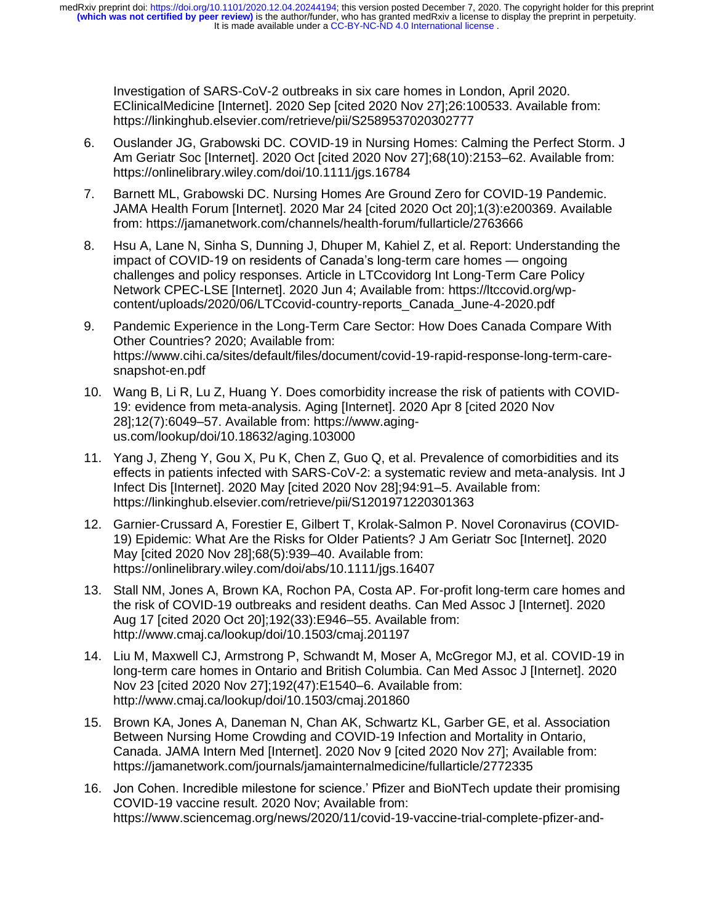Investigation of SARS-CoV-2 outbreaks in six care homes in London, April 2020. EClinicalMedicine [Internet]. 2020 Sep [cited 2020 Nov 27];26:100533. Available from: https://linkinghub.elsevier.com/retrieve/pii/S2589537020302777

- 6. Ouslander JG, Grabowski DC. COVID‐19 in Nursing Homes: Calming the Perfect Storm. J Am Geriatr Soc [Internet]. 2020 Oct [cited 2020 Nov 27];68(10):2153–62. Available from: https://onlinelibrary.wiley.com/doi/10.1111/jgs.16784
- 7. Barnett ML, Grabowski DC. Nursing Homes Are Ground Zero for COVID-19 Pandemic. JAMA Health Forum [Internet]. 2020 Mar 24 [cited 2020 Oct 20];1(3):e200369. Available from: https://jamanetwork.com/channels/health-forum/fullarticle/2763666
- 8. Hsu A, Lane N, Sinha S, Dunning J, Dhuper M, Kahiel Z, et al. Report: Understanding the impact of COVID-19 on residents of Canada's long-term care homes — ongoing challenges and policy responses. Article in LTCcovidorg Int Long-Term Care Policy Network CPEC-LSE [Internet]. 2020 Jun 4; Available from: https://ltccovid.org/wpcontent/uploads/2020/06/LTCcovid-country-reports\_Canada\_June-4-2020.pdf
- 9. Pandemic Experience in the Long-Term Care Sector: How Does Canada Compare With Other Countries? 2020; Available from: https://www.cihi.ca/sites/default/files/document/covid-19-rapid-response-long-term-caresnapshot-en.pdf
- 10. Wang B, Li R, Lu Z, Huang Y. Does comorbidity increase the risk of patients with COVID-19: evidence from meta-analysis. Aging [Internet]. 2020 Apr 8 [cited 2020 Nov 28];12(7):6049–57. Available from: https://www.agingus.com/lookup/doi/10.18632/aging.103000
- 11. Yang J, Zheng Y, Gou X, Pu K, Chen Z, Guo Q, et al. Prevalence of comorbidities and its effects in patients infected with SARS-CoV-2: a systematic review and meta-analysis. Int J Infect Dis [Internet]. 2020 May [cited 2020 Nov 28];94:91–5. Available from: https://linkinghub.elsevier.com/retrieve/pii/S1201971220301363
- 12. Garnier-Crussard A, Forestier E, Gilbert T, Krolak-Salmon P. Novel Coronavirus (COVID-19) Epidemic: What Are the Risks for Older Patients? J Am Geriatr Soc [Internet]. 2020 May [cited 2020 Nov 28];68(5):939–40. Available from: https://onlinelibrary.wiley.com/doi/abs/10.1111/jgs.16407
- 13. Stall NM, Jones A, Brown KA, Rochon PA, Costa AP. For-profit long-term care homes and the risk of COVID-19 outbreaks and resident deaths. Can Med Assoc J [Internet]. 2020 Aug 17 [cited 2020 Oct 20];192(33):E946–55. Available from: http://www.cmaj.ca/lookup/doi/10.1503/cmaj.201197
- 14. Liu M, Maxwell CJ, Armstrong P, Schwandt M, Moser A, McGregor MJ, et al. COVID-19 in long-term care homes in Ontario and British Columbia. Can Med Assoc J [Internet]. 2020 Nov 23 [cited 2020 Nov 27];192(47):E1540–6. Available from: http://www.cmaj.ca/lookup/doi/10.1503/cmaj.201860
- 15. Brown KA, Jones A, Daneman N, Chan AK, Schwartz KL, Garber GE, et al. Association Between Nursing Home Crowding and COVID-19 Infection and Mortality in Ontario, Canada. JAMA Intern Med [Internet]. 2020 Nov 9 [cited 2020 Nov 27]; Available from: https://jamanetwork.com/journals/jamainternalmedicine/fullarticle/2772335
- 16. Jon Cohen. Incredible milestone for science.' Pfizer and BioNTech update their promising COVID-19 vaccine result. 2020 Nov; Available from: https://www.sciencemag.org/news/2020/11/covid-19-vaccine-trial-complete-pfizer-and-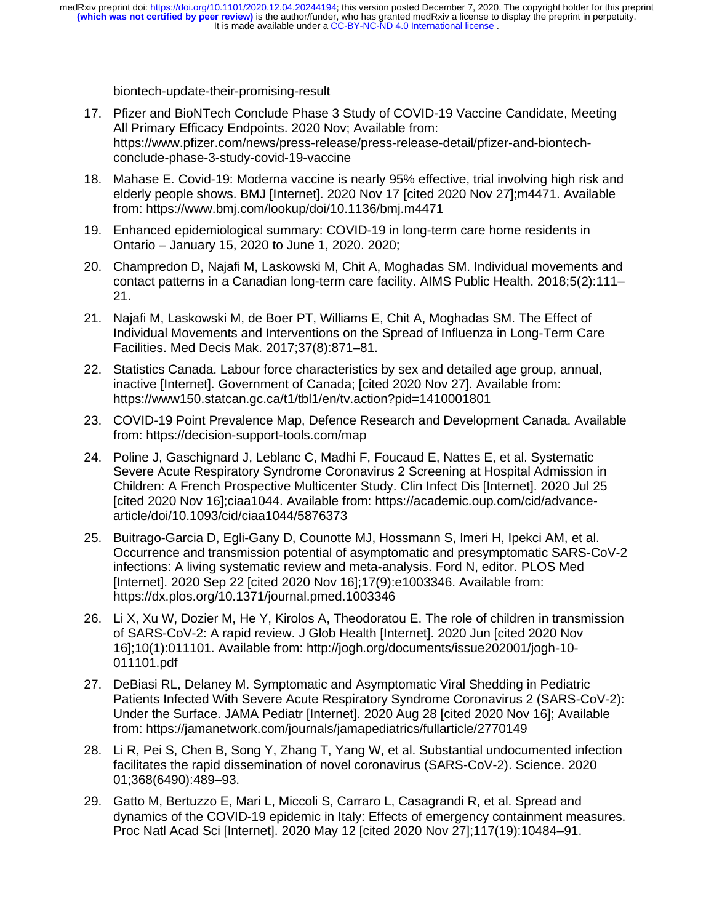biontech-update-their-promising-result

- 17. Pfizer and BioNTech Conclude Phase 3 Study of COVID-19 Vaccine Candidate, Meeting All Primary Efficacy Endpoints. 2020 Nov; Available from: https://www.pfizer.com/news/press-release/press-release-detail/pfizer-and-biontechconclude-phase-3-study-covid-19-vaccine
- 18. Mahase E. Covid-19: Moderna vaccine is nearly 95% effective, trial involving high risk and elderly people shows. BMJ [Internet]. 2020 Nov 17 [cited 2020 Nov 27];m4471. Available from: https://www.bmj.com/lookup/doi/10.1136/bmj.m4471
- 19. Enhanced epidemiological summary: COVID-19 in long-term care home residents in Ontario – January 15, 2020 to June 1, 2020. 2020;
- 20. Champredon D, Najafi M, Laskowski M, Chit A, Moghadas SM. Individual movements and contact patterns in a Canadian long-term care facility. AIMS Public Health. 2018;5(2):111– 21.
- 21. Najafi M, Laskowski M, de Boer PT, Williams E, Chit A, Moghadas SM. The Effect of Individual Movements and Interventions on the Spread of Influenza in Long-Term Care Facilities. Med Decis Mak. 2017;37(8):871–81.
- 22. Statistics Canada. Labour force characteristics by sex and detailed age group, annual, inactive [Internet]. Government of Canada; [cited 2020 Nov 27]. Available from: https://www150.statcan.gc.ca/t1/tbl1/en/tv.action?pid=1410001801
- 23. COVID-19 Point Prevalence Map, Defence Research and Development Canada. Available from: https://decision-support-tools.com/map
- 24. Poline J, Gaschignard J, Leblanc C, Madhi F, Foucaud E, Nattes E, et al. Systematic Severe Acute Respiratory Syndrome Coronavirus 2 Screening at Hospital Admission in Children: A French Prospective Multicenter Study. Clin Infect Dis [Internet]. 2020 Jul 25 [cited 2020 Nov 16];ciaa1044. Available from: https://academic.oup.com/cid/advancearticle/doi/10.1093/cid/ciaa1044/5876373
- 25. Buitrago-Garcia D, Egli-Gany D, Counotte MJ, Hossmann S, Imeri H, Ipekci AM, et al. Occurrence and transmission potential of asymptomatic and presymptomatic SARS-CoV-2 infections: A living systematic review and meta-analysis. Ford N, editor. PLOS Med [Internet]. 2020 Sep 22 [cited 2020 Nov 16];17(9):e1003346. Available from: https://dx.plos.org/10.1371/journal.pmed.1003346
- 26. Li X, Xu W, Dozier M, He Y, Kirolos A, Theodoratou E. The role of children in transmission of SARS-CoV-2: A rapid review. J Glob Health [Internet]. 2020 Jun [cited 2020 Nov 16];10(1):011101. Available from: http://jogh.org/documents/issue202001/jogh-10- 011101.pdf
- 27. DeBiasi RL, Delaney M. Symptomatic and Asymptomatic Viral Shedding in Pediatric Patients Infected With Severe Acute Respiratory Syndrome Coronavirus 2 (SARS-CoV-2): Under the Surface. JAMA Pediatr [Internet]. 2020 Aug 28 [cited 2020 Nov 16]; Available from: https://jamanetwork.com/journals/jamapediatrics/fullarticle/2770149
- 28. Li R, Pei S, Chen B, Song Y, Zhang T, Yang W, et al. Substantial undocumented infection facilitates the rapid dissemination of novel coronavirus (SARS-CoV-2). Science. 2020 01;368(6490):489–93.
- 29. Gatto M, Bertuzzo E, Mari L, Miccoli S, Carraro L, Casagrandi R, et al. Spread and dynamics of the COVID-19 epidemic in Italy: Effects of emergency containment measures. Proc Natl Acad Sci [Internet]. 2020 May 12 [cited 2020 Nov 27];117(19):10484–91.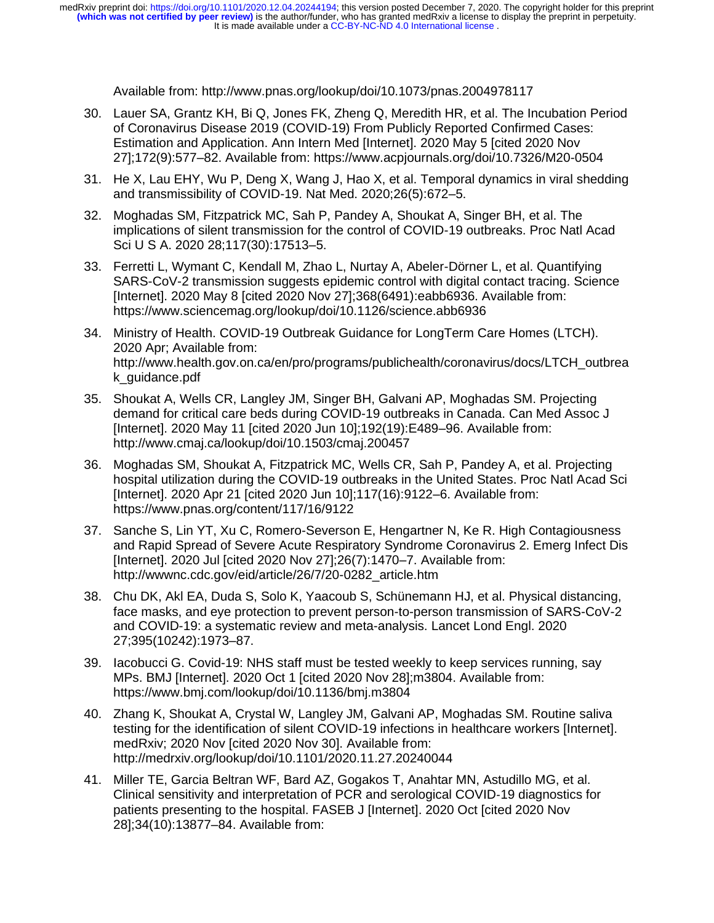Available from: http://www.pnas.org/lookup/doi/10.1073/pnas.2004978117

- 30. Lauer SA, Grantz KH, Bi Q, Jones FK, Zheng Q, Meredith HR, et al. The Incubation Period of Coronavirus Disease 2019 (COVID-19) From Publicly Reported Confirmed Cases: Estimation and Application. Ann Intern Med [Internet]. 2020 May 5 [cited 2020 Nov 27];172(9):577–82. Available from: https://www.acpjournals.org/doi/10.7326/M20-0504
- 31. He X, Lau EHY, Wu P, Deng X, Wang J, Hao X, et al. Temporal dynamics in viral shedding and transmissibility of COVID-19. Nat Med. 2020;26(5):672–5.
- 32. Moghadas SM, Fitzpatrick MC, Sah P, Pandey A, Shoukat A, Singer BH, et al. The implications of silent transmission for the control of COVID-19 outbreaks. Proc Natl Acad Sci U S A. 2020 28;117(30):17513–5.
- 33. Ferretti L, Wymant C, Kendall M, Zhao L, Nurtay A, Abeler-Dörner L, et al. Quantifying SARS-CoV-2 transmission suggests epidemic control with digital contact tracing. Science [Internet]. 2020 May 8 [cited 2020 Nov 27];368(6491):eabb6936. Available from: https://www.sciencemag.org/lookup/doi/10.1126/science.abb6936
- 34. Ministry of Health. COVID-19 Outbreak Guidance for LongTerm Care Homes (LTCH). 2020 Apr; Available from: http://www.health.gov.on.ca/en/pro/programs/publichealth/coronavirus/docs/LTCH\_outbrea k\_guidance.pdf
- 35. Shoukat A, Wells CR, Langley JM, Singer BH, Galvani AP, Moghadas SM. Projecting demand for critical care beds during COVID-19 outbreaks in Canada. Can Med Assoc J [Internet]. 2020 May 11 [cited 2020 Jun 10];192(19):E489–96. Available from: http://www.cmaj.ca/lookup/doi/10.1503/cmaj.200457
- 36. Moghadas SM, Shoukat A, Fitzpatrick MC, Wells CR, Sah P, Pandey A, et al. Projecting hospital utilization during the COVID-19 outbreaks in the United States. Proc Natl Acad Sci [Internet]. 2020 Apr 21 [cited 2020 Jun 10];117(16):9122–6. Available from: https://www.pnas.org/content/117/16/9122
- 37. Sanche S, Lin YT, Xu C, Romero-Severson E, Hengartner N, Ke R. High Contagiousness and Rapid Spread of Severe Acute Respiratory Syndrome Coronavirus 2. Emerg Infect Dis [Internet]. 2020 Jul [cited 2020 Nov 27];26(7):1470–7. Available from: http://wwwnc.cdc.gov/eid/article/26/7/20-0282\_article.htm
- 38. Chu DK, Akl EA, Duda S, Solo K, Yaacoub S, Schünemann HJ, et al. Physical distancing, face masks, and eye protection to prevent person-to-person transmission of SARS-CoV-2 and COVID-19: a systematic review and meta-analysis. Lancet Lond Engl. 2020 27;395(10242):1973–87.
- 39. Iacobucci G. Covid-19: NHS staff must be tested weekly to keep services running, say MPs. BMJ [Internet]. 2020 Oct 1 [cited 2020 Nov 28];m3804. Available from: https://www.bmj.com/lookup/doi/10.1136/bmj.m3804
- 40. Zhang K, Shoukat A, Crystal W, Langley JM, Galvani AP, Moghadas SM. Routine saliva testing for the identification of silent COVID-19 infections in healthcare workers [Internet]. medRxiv; 2020 Nov [cited 2020 Nov 30]. Available from: http://medrxiv.org/lookup/doi/10.1101/2020.11.27.20240044
- 41. Miller TE, Garcia Beltran WF, Bard AZ, Gogakos T, Anahtar MN, Astudillo MG, et al. Clinical sensitivity and interpretation of PCR and serological COVID‐19 diagnostics for patients presenting to the hospital. FASEB J [Internet]. 2020 Oct [cited 2020 Nov 28];34(10):13877–84. Available from: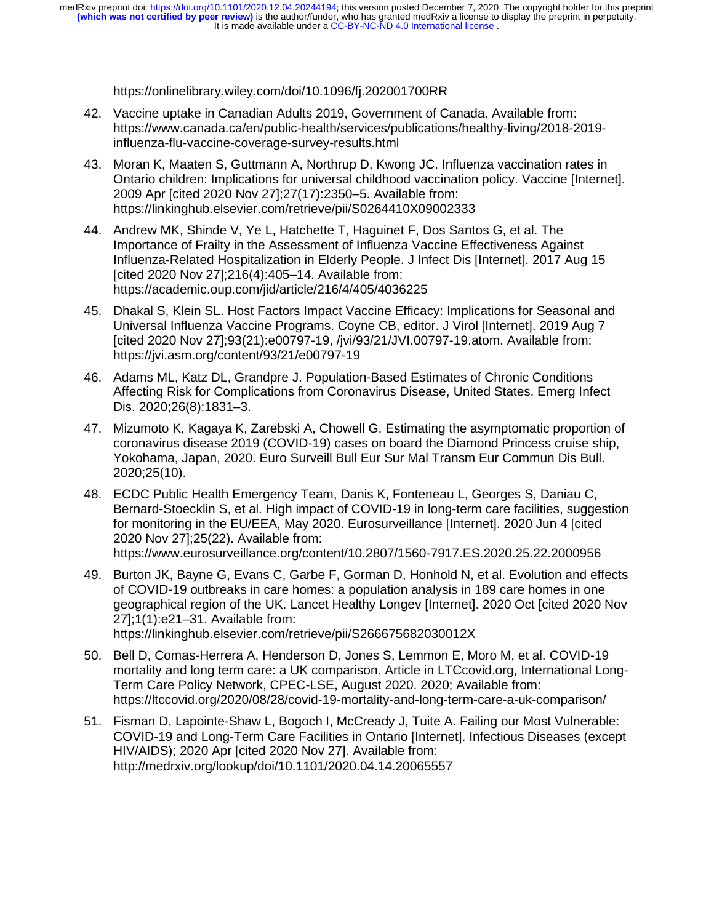https://onlinelibrary.wiley.com/doi/10.1096/fj.202001700RR

- 42. Vaccine uptake in Canadian Adults 2019, Government of Canada. Available from: https://www.canada.ca/en/public-health/services/publications/healthy-living/2018-2019 influenza-flu-vaccine-coverage-survey-results.html
- 43. Moran K, Maaten S, Guttmann A, Northrup D, Kwong JC. Influenza vaccination rates in Ontario children: Implications for universal childhood vaccination policy. Vaccine [Internet]. 2009 Apr [cited 2020 Nov 27];27(17):2350–5. Available from: https://linkinghub.elsevier.com/retrieve/pii/S0264410X09002333
- 44. Andrew MK, Shinde V, Ye L, Hatchette T, Haguinet F, Dos Santos G, et al. The Importance of Frailty in the Assessment of Influenza Vaccine Effectiveness Against Influenza-Related Hospitalization in Elderly People. J Infect Dis [Internet]. 2017 Aug 15 [cited 2020 Nov 27];216(4):405–14. Available from: https://academic.oup.com/jid/article/216/4/405/4036225
- 45. Dhakal S, Klein SL. Host Factors Impact Vaccine Efficacy: Implications for Seasonal and Universal Influenza Vaccine Programs. Coyne CB, editor. J Virol [Internet]. 2019 Aug 7 [cited 2020 Nov 27];93(21):e00797-19, /jvi/93/21/JVI.00797-19.atom. Available from: https://jvi.asm.org/content/93/21/e00797-19
- 46. Adams ML, Katz DL, Grandpre J. Population-Based Estimates of Chronic Conditions Affecting Risk for Complications from Coronavirus Disease, United States. Emerg Infect Dis. 2020;26(8):1831–3.
- 47. Mizumoto K, Kagaya K, Zarebski A, Chowell G. Estimating the asymptomatic proportion of coronavirus disease 2019 (COVID-19) cases on board the Diamond Princess cruise ship, Yokohama, Japan, 2020. Euro Surveill Bull Eur Sur Mal Transm Eur Commun Dis Bull. 2020;25(10).
- 48. ECDC Public Health Emergency Team, Danis K, Fonteneau L, Georges S, Daniau C, Bernard-Stoecklin S, et al. High impact of COVID-19 in long-term care facilities, suggestion for monitoring in the EU/EEA, May 2020. Eurosurveillance [Internet]. 2020 Jun 4 [cited 2020 Nov 27];25(22). Available from: https://www.eurosurveillance.org/content/10.2807/1560-7917.ES.2020.25.22.2000956
- 49. Burton JK, Bayne G, Evans C, Garbe F, Gorman D, Honhold N, et al. Evolution and effects of COVID-19 outbreaks in care homes: a population analysis in 189 care homes in one geographical region of the UK. Lancet Healthy Longev [Internet]. 2020 Oct [cited 2020 Nov 27];1(1):e21–31. Available from: https://linkinghub.elsevier.com/retrieve/pii/S266675682030012X
- 50. Bell D, Comas-Herrera A, Henderson D, Jones S, Lemmon E, Moro M, et al. COVID-19 mortality and long term care: a UK comparison. Article in LTCcovid.org, International Long-Term Care Policy Network, CPEC-LSE, August 2020. 2020; Available from: https://ltccovid.org/2020/08/28/covid-19-mortality-and-long-term-care-a-uk-comparison/
- 51. Fisman D, Lapointe-Shaw L, Bogoch I, McCready J, Tuite A. Failing our Most Vulnerable: COVID-19 and Long-Term Care Facilities in Ontario [Internet]. Infectious Diseases (except HIV/AIDS); 2020 Apr [cited 2020 Nov 27]. Available from: http://medrxiv.org/lookup/doi/10.1101/2020.04.14.20065557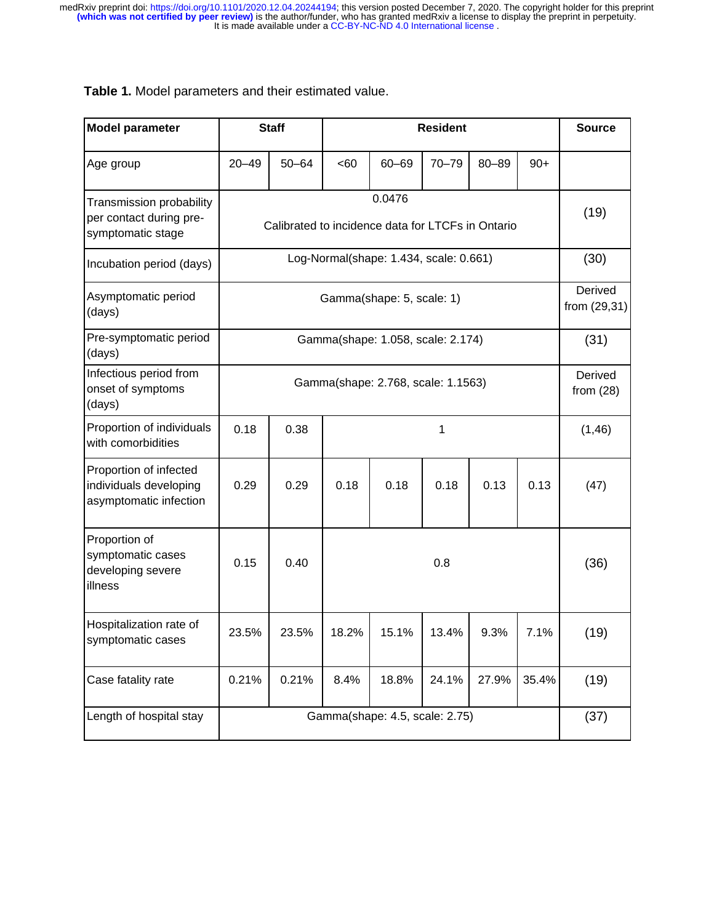| Table 1. Model parameters and their estimated value. |  |
|------------------------------------------------------|--|
|------------------------------------------------------|--|

| <b>Model parameter</b>                                                     |                                                             | <b>Staff</b> |       | <b>Resident</b> |           |                            |       | <b>Source</b> |
|----------------------------------------------------------------------------|-------------------------------------------------------------|--------------|-------|-----------------|-----------|----------------------------|-------|---------------|
| Age group                                                                  | $20 - 49$                                                   | $50 - 64$    | <60   | $60 - 69$       | $70 - 79$ | $80 - 89$                  | $90+$ |               |
| Transmission probability<br>per contact during pre-<br>symptomatic stage   | 0.0476<br>Calibrated to incidence data for LTCFs in Ontario |              |       |                 |           | (19)                       |       |               |
| Incubation period (days)                                                   | Log-Normal(shape: 1.434, scale: 0.661)                      |              |       |                 | (30)      |                            |       |               |
| Asymptomatic period<br>(days)                                              | Gamma(shape: 5, scale: 1)                                   |              |       |                 |           | Derived<br>from $(29, 31)$ |       |               |
| Pre-symptomatic period<br>(days)                                           | Gamma(shape: 1.058, scale: 2.174)                           |              |       |                 |           | (31)                       |       |               |
| Infectious period from<br>onset of symptoms<br>(days)                      | Gamma(shape: 2.768, scale: 1.1563)                          |              |       |                 |           | Derived<br>from $(28)$     |       |               |
| Proportion of individuals<br>with comorbidities                            | 0.18                                                        | 0.38         | 1     |                 |           | (1, 46)                    |       |               |
| Proportion of infected<br>individuals developing<br>asymptomatic infection | 0.29                                                        | 0.29         | 0.18  | 0.18            | 0.18      | 0.13                       | 0.13  | (47)          |
| Proportion of<br>symptomatic cases<br>developing severe<br>illness         | 0.15                                                        | 0.40         | 0.8   |                 |           |                            | (36)  |               |
| Hospitalization rate of<br>symptomatic cases                               | 23.5%                                                       | 23.5%        | 18.2% | 15.1%           | 13.4%     | 9.3%                       | 7.1%  | (19)          |
| Case fatality rate                                                         | 0.21%                                                       | 0.21%        | 8.4%  | 18.8%           | 24.1%     | 27.9%                      | 35.4% | (19)          |
| Length of hospital stay                                                    | Gamma(shape: 4.5, scale: 2.75)                              |              |       |                 | (37)      |                            |       |               |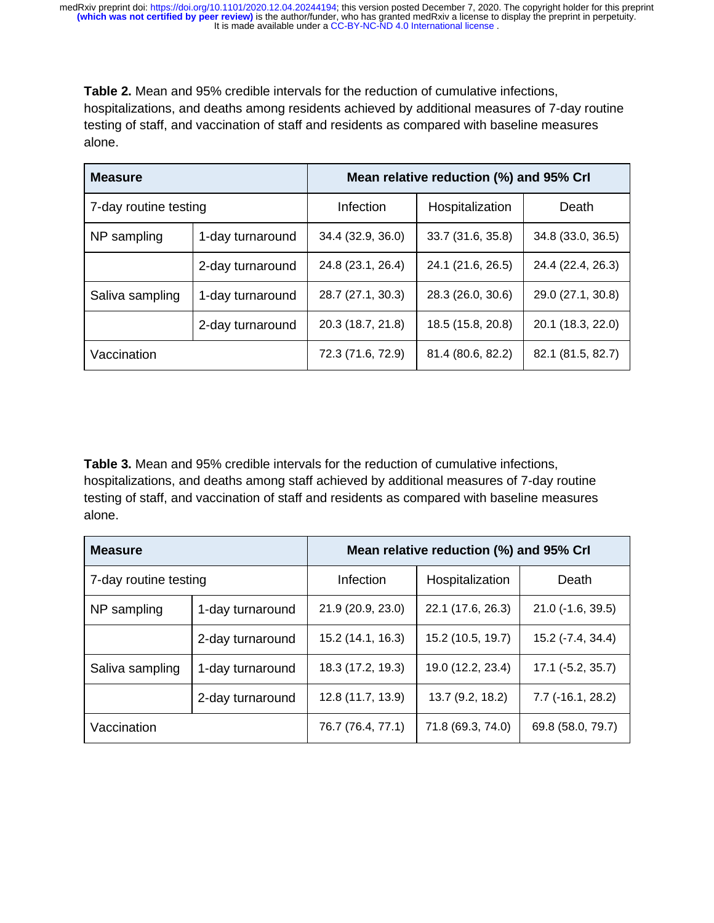**Table 2.** Mean and 95% credible intervals for the reduction of cumulative infections, hospitalizations, and deaths among residents achieved by additional measures of 7-day routine testing of staff, and vaccination of staff and residents as compared with baseline measures alone.

| <b>Measure</b>        |                  | Mean relative reduction (%) and 95% Crl |                   |                   |  |
|-----------------------|------------------|-----------------------------------------|-------------------|-------------------|--|
| 7-day routine testing |                  | Infection                               | Hospitalization   | Death             |  |
| NP sampling           | 1-day turnaround | 34.4 (32.9, 36.0)                       | 33.7 (31.6, 35.8) | 34.8 (33.0, 36.5) |  |
|                       | 2-day turnaround | 24.8 (23.1, 26.4)                       | 24.1 (21.6, 26.5) | 24.4 (22.4, 26.3) |  |
| Saliva sampling       | 1-day turnaround | 28.7 (27.1, 30.3)                       | 28.3 (26.0, 30.6) | 29.0 (27.1, 30.8) |  |
|                       | 2-day turnaround | 20.3 (18.7, 21.8)                       | 18.5 (15.8, 20.8) | 20.1 (18.3, 22.0) |  |
| Vaccination           |                  | 72.3 (71.6, 72.9)                       | 81.4 (80.6, 82.2) | 82.1 (81.5, 82.7) |  |

**Table 3.** Mean and 95% credible intervals for the reduction of cumulative infections, hospitalizations, and deaths among staff achieved by additional measures of 7-day routine testing of staff, and vaccination of staff and residents as compared with baseline measures alone.

| <b>Measure</b>        |                  | Mean relative reduction (%) and 95% Crl |                   |                            |  |
|-----------------------|------------------|-----------------------------------------|-------------------|----------------------------|--|
| 7-day routine testing |                  | Infection                               | Hospitalization   | Death                      |  |
| NP sampling           | 1-day turnaround | 21.9 (20.9, 23.0)                       | 22.1 (17.6, 26.3) | $21.0$ (-1.6, 39.5)        |  |
|                       | 2-day turnaround | 15.2 (14.1, 16.3)                       | 15.2 (10.5, 19.7) | 15.2 (-7.4, 34.4)          |  |
| Saliva sampling       | 1-day turnaround | 18.3 (17.2, 19.3)                       | 19.0 (12.2, 23.4) | $17.1$ ( $-5.2$ , $35.7$ ) |  |
|                       | 2-day turnaround | 12.8 (11.7, 13.9)                       | 13.7(9.2, 18.2)   | $7.7$ (-16.1, 28.2)        |  |
| Vaccination           |                  | 76.7 (76.4, 77.1)                       | 71.8 (69.3, 74.0) | 69.8 (58.0, 79.7)          |  |